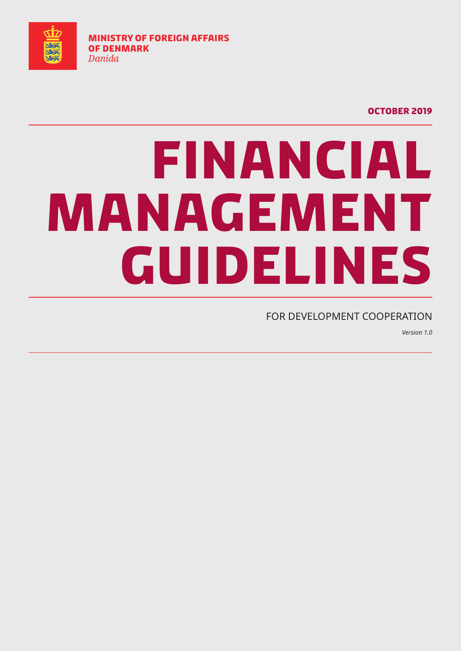

# **FINANCIAL MANAGEMENT GUIDELINES**

# FOR DEVELOPMENT COOPERATION

*Version 1.0*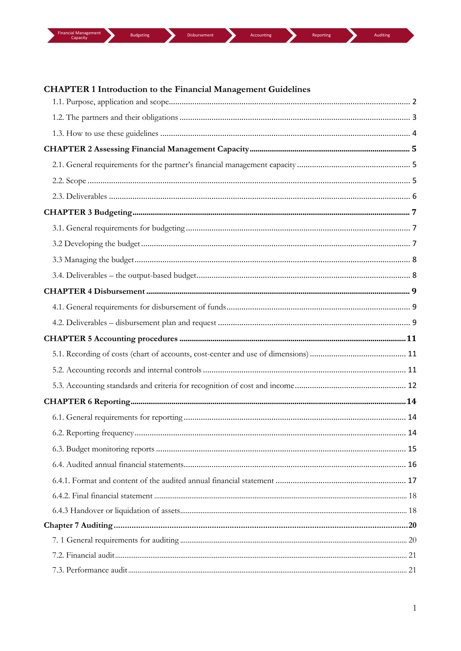| <b>CHAPTER 1 Introduction to the Financial Management Guidelines</b> |  |
|----------------------------------------------------------------------|--|
|                                                                      |  |
|                                                                      |  |
|                                                                      |  |
|                                                                      |  |
|                                                                      |  |
|                                                                      |  |
|                                                                      |  |
|                                                                      |  |
|                                                                      |  |
|                                                                      |  |
|                                                                      |  |
|                                                                      |  |
|                                                                      |  |
|                                                                      |  |
|                                                                      |  |
|                                                                      |  |
|                                                                      |  |
|                                                                      |  |
|                                                                      |  |
|                                                                      |  |
|                                                                      |  |
|                                                                      |  |
|                                                                      |  |
|                                                                      |  |
|                                                                      |  |
|                                                                      |  |
|                                                                      |  |
|                                                                      |  |
|                                                                      |  |
|                                                                      |  |
|                                                                      |  |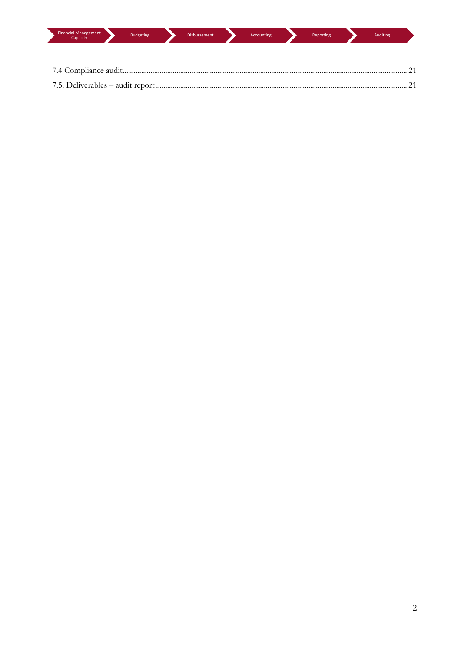| <b>Financial Management</b><br>Capacity | <b>Budgeting</b> | <b>Disbursement</b> | Accounting | Reporting | Auditing |  |
|-----------------------------------------|------------------|---------------------|------------|-----------|----------|--|
|                                         |                  |                     |            |           |          |  |
|                                         |                  |                     |            |           |          |  |
|                                         |                  |                     |            |           |          |  |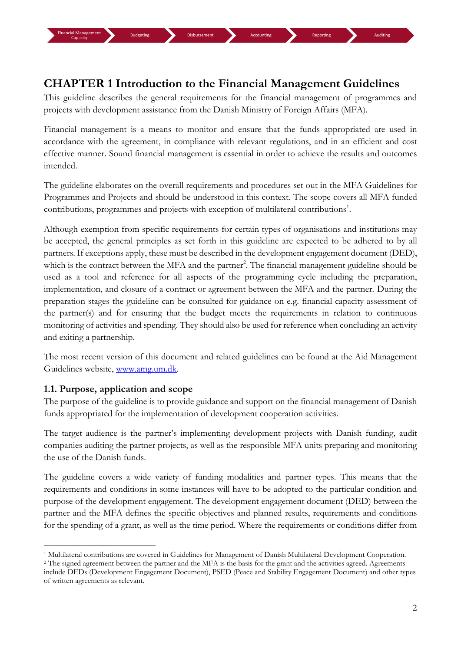## <span id="page-3-0"></span>**CHAPTER 1 Introduction to the Financial Management Guidelines**

This guideline describes the general requirements for the financial management of programmes and projects with development assistance from the Danish Ministry of Foreign Affairs (MFA).

Financial management is a means to monitor and ensure that the funds appropriated are used in accordance with the agreement, in compliance with relevant regulations, and in an efficient and cost effective manner. Sound financial management is essential in order to achieve the results and outcomes intended.

The guideline elaborates on the overall requirements and procedures set out in the MFA Guidelines for Programmes and Projects and should be understood in this context. The scope covers all MFA funded contributions, programmes and projects with exception of multilateral contributions<sup>1</sup>.

Although exemption from specific requirements for certain types of organisations and institutions may be accepted, the general principles as set forth in this guideline are expected to be adhered to by all partners. If exceptions apply, these must be described in the development engagement document (DED), which is the contract between the MFA and the partner<sup>2</sup>. The financial management guideline should be used as a tool and reference for all aspects of the programming cycle including the preparation, implementation, and closure of a contract or agreement between the MFA and the partner. During the preparation stages the guideline can be consulted for guidance on e.g. financial capacity assessment of the partner(s) and for ensuring that the budget meets the requirements in relation to continuous monitoring of activities and spending. They should also be used for reference when concluding an activity and exiting a partnership.

The most recent version of this document and related guidelines can be found at the Aid Management Guidelines website, [www.amg.um.dk.](http://www.amg.um.dk/)

#### <span id="page-3-1"></span>**1.1. Purpose, application and scope**

-

The purpose of the guideline is to provide guidance and support on the financial management of Danish funds appropriated for the implementation of development cooperation activities.

The target audience is the partner's implementing development projects with Danish funding, audit companies auditing the partner projects, as well as the responsible MFA units preparing and monitoring the use of the Danish funds.

The guideline covers a wide variety of funding modalities and partner types. This means that the requirements and conditions in some instances will have to be adopted to the particular condition and purpose of the development engagement. The development engagement document (DED) between the partner and the MFA defines the specific objectives and planned results, requirements and conditions for the spending of a grant, as well as the time period. Where the requirements or conditions differ from

<sup>1</sup> Multilateral contributions are covered in Guidelines for Management of Danish Multilateral Development Cooperation.

<sup>&</sup>lt;sup>2</sup> The signed agreement between the partner and the MFA is the basis for the grant and the activities agreed. Agreements include DEDs (Development Engagement Document), PSED (Peace and Stability Engagement Document) and other types of written agreements as relevant.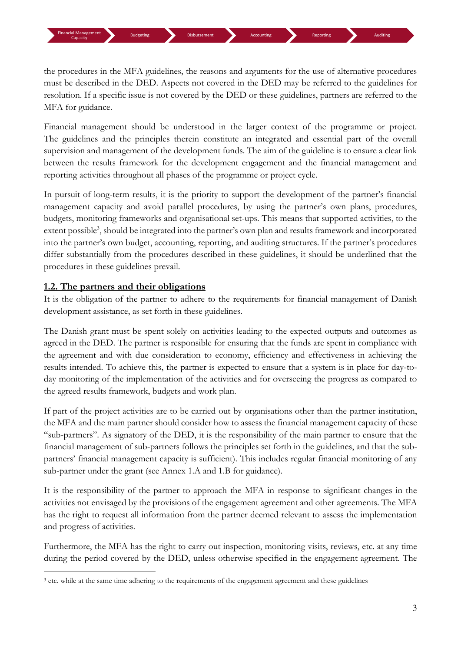the procedures in the MFA guidelines, the reasons and arguments for the use of alternative procedures must be described in the DED. Aspects not covered in the DED may be referred to the guidelines for resolution. If a specific issue is not covered by the DED or these guidelines, partners are referred to the MFA for guidance.

Financial management should be understood in the larger context of the programme or project. The guidelines and the principles therein constitute an integrated and essential part of the overall supervision and management of the development funds. The aim of the guideline is to ensure a clear link between the results framework for the development engagement and the financial management and reporting activities throughout all phases of the programme or project cycle.

In pursuit of long-term results, it is the priority to support the development of the partner's financial management capacity and avoid parallel procedures, by using the partner's own plans, procedures, budgets, monitoring frameworks and organisational set-ups. This means that supported activities, to the extent possible<sup>3</sup>, should be integrated into the partner's own plan and results framework and incorporated into the partner's own budget, accounting, reporting, and auditing structures. If the partner's procedures differ substantially from the procedures described in these guidelines, it should be underlined that the procedures in these guidelines prevail.

#### <span id="page-4-0"></span>**1.2. The partners and their obligations**

It is the obligation of the partner to adhere to the requirements for financial management of Danish development assistance, as set forth in these guidelines.

The Danish grant must be spent solely on activities leading to the expected outputs and outcomes as agreed in the DED. The partner is responsible for ensuring that the funds are spent in compliance with the agreement and with due consideration to economy, efficiency and effectiveness in achieving the results intended. To achieve this, the partner is expected to ensure that a system is in place for day-today monitoring of the implementation of the activities and for overseeing the progress as compared to the agreed results framework, budgets and work plan.

If part of the project activities are to be carried out by organisations other than the partner institution, the MFA and the main partner should consider how to assess the financial management capacity of these "sub-partners". As signatory of the DED, it is the responsibility of the main partner to ensure that the financial management of sub-partners follows the principles set forth in the guidelines, and that the subpartners' financial management capacity is sufficient). This includes regular financial monitoring of any sub-partner under the grant (see Annex 1.A and 1.B for guidance).

It is the responsibility of the partner to approach the MFA in response to significant changes in the activities not envisaged by the provisions of the engagement agreement and other agreements. The MFA has the right to request all information from the partner deemed relevant to assess the implementation and progress of activities.

Furthermore, the MFA has the right to carry out inspection, monitoring visits, reviews, etc. at any time during the period covered by the DED, unless otherwise specified in the engagement agreement. The

<sup>-</sup><sup>3</sup> etc. while at the same time adhering to the requirements of the engagement agreement and these guidelines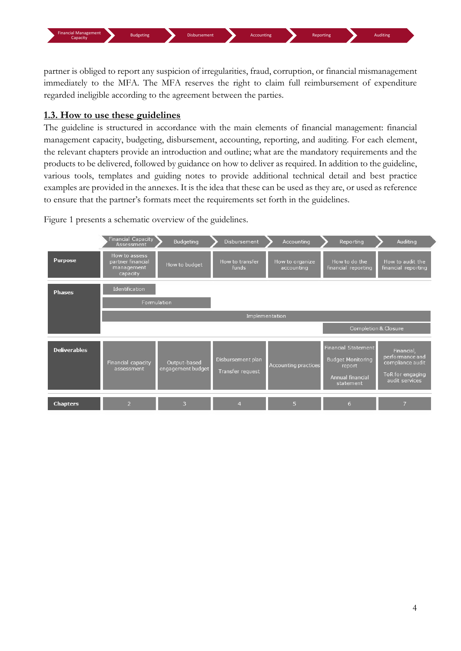

partner is obliged to report any suspicion of irregularities, fraud, corruption, or financial mismanagement immediately to the MFA. The MFA reserves the right to claim full reimbursement of expenditure regarded ineligible according to the agreement between the parties.

#### <span id="page-5-0"></span>**1.3. How to use these guidelines**

The guideline is structured in accordance with the main elements of financial management: financial management capacity, budgeting, disbursement, accounting, reporting, and auditing. For each element, the relevant chapters provide an introduction and outline; what are the mandatory requirements and the products to be delivered, followed by guidance on how to deliver as required. In addition to the guideline, various tools, templates and guiding notes to provide additional technical detail and best practice examples are provided in the annexes. It is the idea that these can be used as they are, or used as reference to ensure that the partner's formats meet the requirements set forth in the guidelines.

Figure 1 presents a schematic overview of the guidelines.

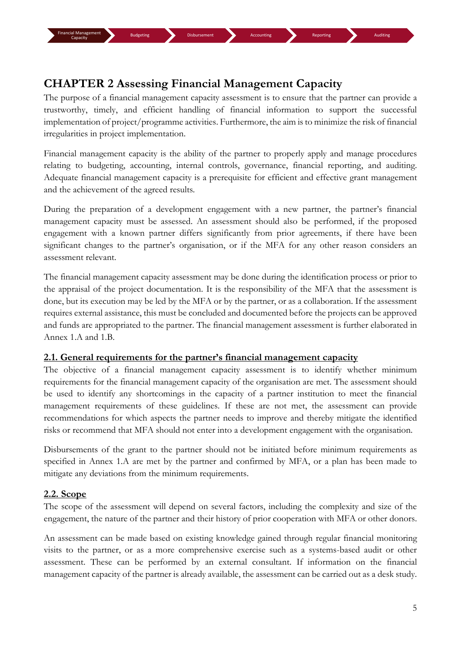<span id="page-6-0"></span>**CHAPTER 2 Assessing Financial Management Capacity**

The purpose of a financial management capacity assessment is to ensure that the partner can provide a trustworthy, timely, and efficient handling of financial information to support the successful implementation of project/programme activities. Furthermore, the aim is to minimize the risk of financial irregularities in project implementation.

Financial management capacity is the ability of the partner to properly apply and manage procedures relating to budgeting, accounting, internal controls, governance, financial reporting, and auditing. Adequate financial management capacity is a prerequisite for efficient and effective grant management and the achievement of the agreed results.

During the preparation of a development engagement with a new partner, the partner's financial management capacity must be assessed. An assessment should also be performed, if the proposed engagement with a known partner differs significantly from prior agreements, if there have been significant changes to the partner's organisation, or if the MFA for any other reason considers an assessment relevant.

The financial management capacity assessment may be done during the identification process or prior to the appraisal of the project documentation. It is the responsibility of the MFA that the assessment is done, but its execution may be led by the MFA or by the partner, or as a collaboration. If the assessment requires external assistance, this must be concluded and documented before the projects can be approved and funds are appropriated to the partner. The financial management assessment is further elaborated in Annex 1.A and 1.B.

#### <span id="page-6-1"></span>**2.1. General requirements for the partner's financial management capacity**

The objective of a financial management capacity assessment is to identify whether minimum requirements for the financial management capacity of the organisation are met. The assessment should be used to identify any shortcomings in the capacity of a partner institution to meet the financial management requirements of these guidelines. If these are not met, the assessment can provide recommendations for which aspects the partner needs to improve and thereby mitigate the identified risks or recommend that MFA should not enter into a development engagement with the organisation.

Disbursements of the grant to the partner should not be initiated before minimum requirements as specified in Annex 1.A are met by the partner and confirmed by MFA, or a plan has been made to mitigate any deviations from the minimum requirements.

#### <span id="page-6-2"></span>**2.2. Scope**

The scope of the assessment will depend on several factors, including the complexity and size of the engagement, the nature of the partner and their history of prior cooperation with MFA or other donors.

An assessment can be made based on existing knowledge gained through regular financial monitoring visits to the partner, or as a more comprehensive exercise such as a systems-based audit or other assessment. These can be performed by an external consultant. If information on the financial management capacity of the partner is already available, the assessment can be carried out as a desk study.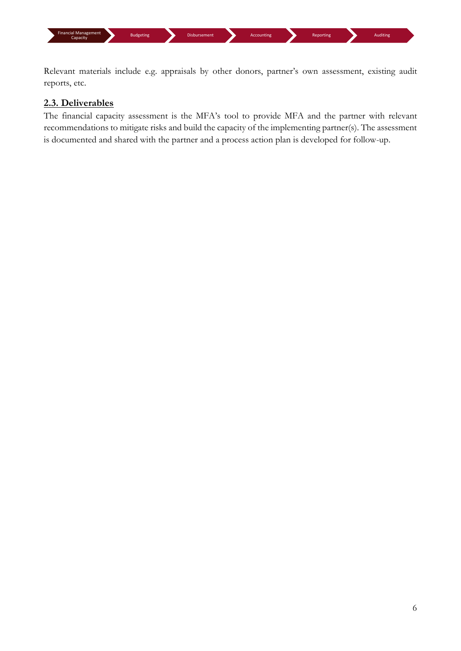

Relevant materials include e.g. appraisals by other donors, partner's own assessment, existing audit reports, etc.

#### <span id="page-7-0"></span>**2.3. Deliverables**

The financial capacity assessment is the MFA's tool to provide MFA and the partner with relevant recommendations to mitigate risks and build the capacity of the implementing partner(s). The assessment is documented and shared with the partner and a process action plan is developed for follow-up.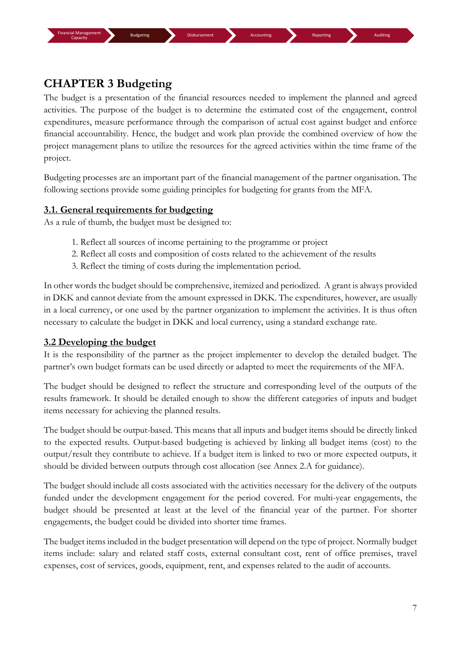## <span id="page-8-0"></span>**CHAPTER 3 Budgeting**

Financial Management

The budget is a presentation of the financial resources needed to implement the planned and agreed activities. The purpose of the budget is to determine the estimated cost of the engagement, control expenditures, measure performance through the comparison of actual cost against budget and enforce financial accountability. Hence, the budget and work plan provide the combined overview of how the project management plans to utilize the resources for the agreed activities within the time frame of the project.

Budgeting processes are an important part of the financial management of the partner organisation. The following sections provide some guiding principles for budgeting for grants from the MFA.

## <span id="page-8-1"></span>**3.1. General requirements for budgeting**

As a rule of thumb, the budget must be designed to:

- 1. Reflect all sources of income pertaining to the programme or project
- 2. Reflect all costs and composition of costs related to the achievement of the results
- 3. Reflect the timing of costs during the implementation period.

In other words the budget should be comprehensive, itemized and periodized. A grant is always provided in DKK and cannot deviate from the amount expressed in DKK. The expenditures, however, are usually in a local currency, or one used by the partner organization to implement the activities. It is thus often necessary to calculate the budget in DKK and local currency, using a standard exchange rate.

#### <span id="page-8-2"></span>**3.2 Developing the budget**

It is the responsibility of the partner as the project implementer to develop the detailed budget. The partner's own budget formats can be used directly or adapted to meet the requirements of the MFA.

The budget should be designed to reflect the structure and corresponding level of the outputs of the results framework. It should be detailed enough to show the different categories of inputs and budget items necessary for achieving the planned results.

The budget should be output-based. This means that all inputs and budget items should be directly linked to the expected results. Output-based budgeting is achieved by linking all budget items (cost) to the output/result they contribute to achieve. If a budget item is linked to two or more expected outputs, it should be divided between outputs through cost allocation (see Annex 2.A for guidance).

The budget should include all costs associated with the activities necessary for the delivery of the outputs funded under the development engagement for the period covered. For multi-year engagements, the budget should be presented at least at the level of the financial year of the partner. For shorter engagements, the budget could be divided into shorter time frames.

The budget items included in the budget presentation will depend on the type of project. Normally budget items include: salary and related staff costs, external consultant cost, rent of office premises, travel expenses, cost of services, goods, equipment, rent, and expenses related to the audit of accounts.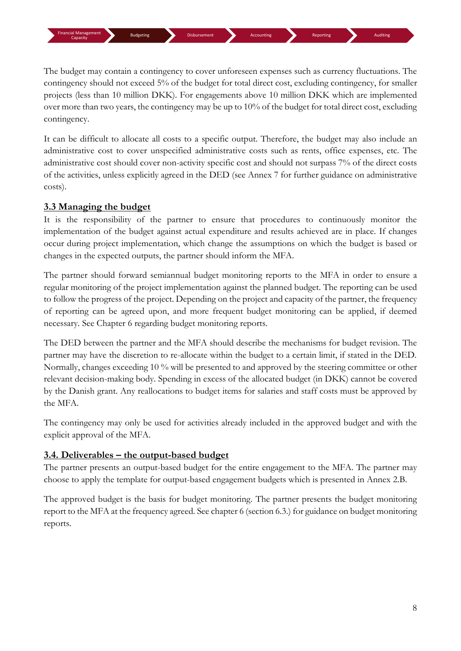The budget may contain a contingency to cover unforeseen expenses such as currency fluctuations. The contingency should not exceed 5% of the budget for total direct cost, excluding contingency, for smaller projects (less than 10 million DKK). For engagements above 10 million DKK which are implemented over more than two years, the contingency may be up to 10% of the budget for total direct cost, excluding contingency.

It can be difficult to allocate all costs to a specific output. Therefore, the budget may also include an administrative cost to cover unspecified administrative costs such as rents, office expenses, etc. The administrative cost should cover non-activity specific cost and should not surpass 7% of the direct costs of the activities, unless explicitly agreed in the DED (see Annex 7 for further guidance on administrative costs).

#### <span id="page-9-0"></span>**3.3 Managing the budget**

It is the responsibility of the partner to ensure that procedures to continuously monitor the implementation of the budget against actual expenditure and results achieved are in place. If changes occur during project implementation, which change the assumptions on which the budget is based or changes in the expected outputs, the partner should inform the MFA.

The partner should forward semiannual budget monitoring reports to the MFA in order to ensure a regular monitoring of the project implementation against the planned budget. The reporting can be used to follow the progress of the project. Depending on the project and capacity of the partner, the frequency of reporting can be agreed upon, and more frequent budget monitoring can be applied, if deemed necessary. See Chapter 6 regarding budget monitoring reports.

The DED between the partner and the MFA should describe the mechanisms for budget revision. The partner may have the discretion to re-allocate within the budget to a certain limit, if stated in the DED. Normally, changes exceeding 10 % will be presented to and approved by the steering committee or other relevant decision-making body. Spending in excess of the allocated budget (in DKK) cannot be covered by the Danish grant. Any reallocations to budget items for salaries and staff costs must be approved by the MFA.

The contingency may only be used for activities already included in the approved budget and with the explicit approval of the MFA.

#### <span id="page-9-1"></span>**3.4. Deliverables – the output-based budget**

The partner presents an output-based budget for the entire engagement to the MFA. The partner may choose to apply the template for output-based engagement budgets which is presented in Annex 2.B.

The approved budget is the basis for budget monitoring. The partner presents the budget monitoring report to the MFA at the frequency agreed. See chapter 6 (section 6.3.) for guidance on budget monitoring reports.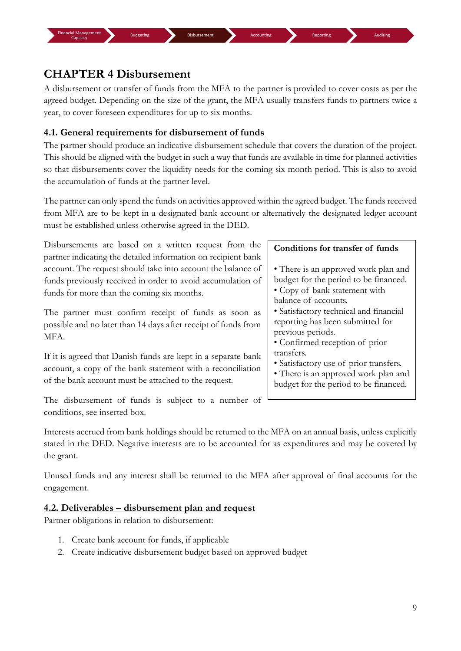Financial Management

<span id="page-10-0"></span>A disbursement or transfer of funds from the MFA to the partner is provided to cover costs as per the agreed budget. Depending on the size of the grant, the MFA usually transfers funds to partners twice a year, to cover foreseen expenditures for up to six months.

## <span id="page-10-1"></span>**4.1. General requirements for disbursement of funds**

The partner should produce an indicative disbursement schedule that covers the duration of the project. This should be aligned with the budget in such a way that funds are available in time for planned activities so that disbursements cover the liquidity needs for the coming six month period. This is also to avoid the accumulation of funds at the partner level.

The partner can only spend the funds on activities approved within the agreed budget. The funds received from MFA are to be kept in a designated bank account or alternatively the designated ledger account must be established unless otherwise agreed in the DED.

Disbursements are based on a written request from the partner indicating the detailed information on recipient bank account. The request should take into account the balance of funds previously received in order to avoid accumulation of funds for more than the coming six months.

The partner must confirm receipt of funds as soon as possible and no later than 14 days after receipt of funds from MFA.

If it is agreed that Danish funds are kept in a separate bank account, a copy of the bank statement with a reconciliation of the bank account must be attached to the request.

The disbursement of funds is subject to a number of conditions, see inserted box.

Interests accrued from bank holdings should be returned to the MFA on an annual basis, unless explicitly stated in the DED. Negative interests are to be accounted for as expenditures and may be covered by the grant.

Unused funds and any interest shall be returned to the MFA after approval of final accounts for the engagement.

## <span id="page-10-2"></span>**4.2. Deliverables – disbursement plan and request**

Partner obligations in relation to disbursement:

- 1. Create bank account for funds, if applicable
- 2. Create indicative disbursement budget based on approved budget

#### **Conditions for transfer of funds**

- There is an approved work plan and budget for the period to be financed. • Copy of bank statement with
- balance of accounts.
- Satisfactory technical and financial reporting has been submitted for previous periods.
- Confirmed reception of prior transfers.
- Satisfactory use of prior transfers.
- There is an approved work plan and
- budget for the period to be financed.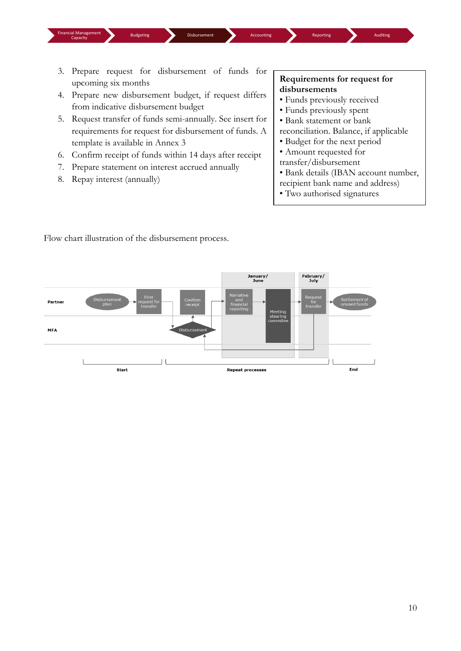- 3. Prepare request for disbursement of funds for upcoming six months
- 4. Prepare new disbursement budget, if request differs from indicative disbursement budget
- 5. Request transfer of funds semi-annually. See insert for requirements for request for disbursement of funds. A template is available in Annex 3
- 6. Confirm receipt of funds within 14 days after receipt
- 7. Prepare statement on interest accrued annually
- 8. Repay interest (annually)

#### **Requirements for request for disbursements**

- Funds previously received
- Funds previously spent
- Bank statement or bank
- reconciliation. Balance, if applicable
- Budget for the next period
- Amount requested for
- transfer/disbursement
- Bank details (IBAN account number, recipient bank name and address)
- Two authorised signatures

Flow chart illustration of the disbursement process.

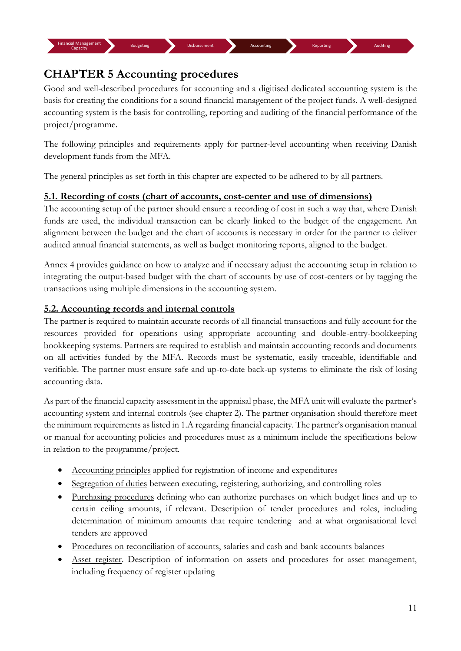| <b>Financial Management</b><br>Capacity | Budgeting | <b>Disbursement</b> | <b>Accounting</b> | <b>Reporting</b> | <b>Auditing</b> |
|-----------------------------------------|-----------|---------------------|-------------------|------------------|-----------------|
|-----------------------------------------|-----------|---------------------|-------------------|------------------|-----------------|

# <span id="page-12-0"></span>**CHAPTER 5 Accounting procedures**

Good and well-described procedures for accounting and a digitised dedicated accounting system is the basis for creating the conditions for a sound financial management of the project funds. A well-designed accounting system is the basis for controlling, reporting and auditing of the financial performance of the project/programme.

The following principles and requirements apply for partner-level accounting when receiving Danish development funds from the MFA.

The general principles as set forth in this chapter are expected to be adhered to by all partners.

## <span id="page-12-1"></span>**5.1. Recording of costs (chart of accounts, cost-center and use of dimensions)**

The accounting setup of the partner should ensure a recording of cost in such a way that, where Danish funds are used, the individual transaction can be clearly linked to the budget of the engagement. An alignment between the budget and the chart of accounts is necessary in order for the partner to deliver audited annual financial statements, as well as budget monitoring reports, aligned to the budget.

Annex 4 provides guidance on how to analyze and if necessary adjust the accounting setup in relation to integrating the output-based budget with the chart of accounts by use of cost-centers or by tagging the transactions using multiple dimensions in the accounting system.

## <span id="page-12-2"></span>**5.2. Accounting records and internal controls**

The partner is required to maintain accurate records of all financial transactions and fully account for the resources provided for operations using appropriate accounting and double-entry-bookkeeping bookkeeping systems. Partners are required to establish and maintain accounting records and documents on all activities funded by the MFA. Records must be systematic, easily traceable, identifiable and verifiable. The partner must ensure safe and up-to-date back-up systems to eliminate the risk of losing accounting data.

As part of the financial capacity assessment in the appraisal phase, the MFA unit will evaluate the partner's accounting system and internal controls (see chapter 2). The partner organisation should therefore meet the minimum requirements as listed in 1.A regarding financial capacity. The partner's organisation manual or manual for accounting policies and procedures must as a minimum include the specifications below in relation to the programme/project.

- Accounting principles applied for registration of income and expenditures
- Segregation of duties between executing, registering, authorizing, and controlling roles
- Purchasing procedures defining who can authorize purchases on which budget lines and up to certain ceiling amounts, if relevant. Description of tender procedures and roles, including determination of minimum amounts that require tendering and at what organisational level tenders are approved
- Procedures on reconciliation of accounts, salaries and cash and bank accounts balances
- Asset register. Description of information on assets and procedures for asset management, including frequency of register updating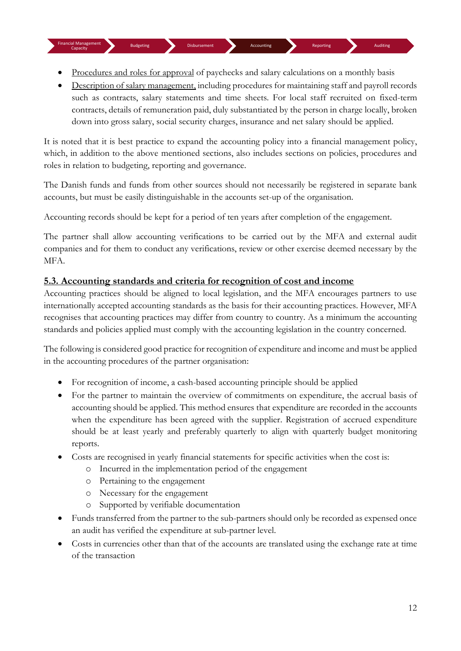Financial Management

- Procedures and roles for approval of paychecks and salary calculations on a monthly basis
- Description of salary management, including procedures for maintaining staff and payroll records such as contracts, salary statements and time sheets. For local staff recruited on fixed-term contracts, details of remuneration paid, duly substantiated by the person in charge locally, broken down into gross salary, social security charges, insurance and net salary should be applied.

It is noted that it is best practice to expand the accounting policy into a financial management policy, which, in addition to the above mentioned sections, also includes sections on policies, procedures and roles in relation to budgeting, reporting and governance.

The Danish funds and funds from other sources should not necessarily be registered in separate bank accounts, but must be easily distinguishable in the accounts set-up of the organisation.

Accounting records should be kept for a period of ten years after completion of the engagement.

The partner shall allow accounting verifications to be carried out by the MFA and external audit companies and for them to conduct any verifications, review or other exercise deemed necessary by the MFA.

#### <span id="page-13-0"></span>**5.3. Accounting standards and criteria for recognition of cost and income**

Accounting practices should be aligned to local legislation, and the MFA encourages partners to use internationally accepted accounting standards as the basis for their accounting practices. However, MFA recognises that accounting practices may differ from country to country. As a minimum the accounting standards and policies applied must comply with the accounting legislation in the country concerned.

The following is considered good practice for recognition of expenditure and income and must be applied in the accounting procedures of the partner organisation:

- For recognition of income, a cash-based accounting principle should be applied
- For the partner to maintain the overview of commitments on expenditure, the accrual basis of accounting should be applied. This method ensures that expenditure are recorded in the accounts when the expenditure has been agreed with the supplier. Registration of accrued expenditure should be at least yearly and preferably quarterly to align with quarterly budget monitoring reports.
- Costs are recognised in yearly financial statements for specific activities when the cost is:
	- o Incurred in the implementation period of the engagement
	- o Pertaining to the engagement
	- o Necessary for the engagement
	- o Supported by verifiable documentation
- Funds transferred from the partner to the sub-partners should only be recorded as expensed once an audit has verified the expenditure at sub-partner level.
- Costs in currencies other than that of the accounts are translated using the exchange rate at time of the transaction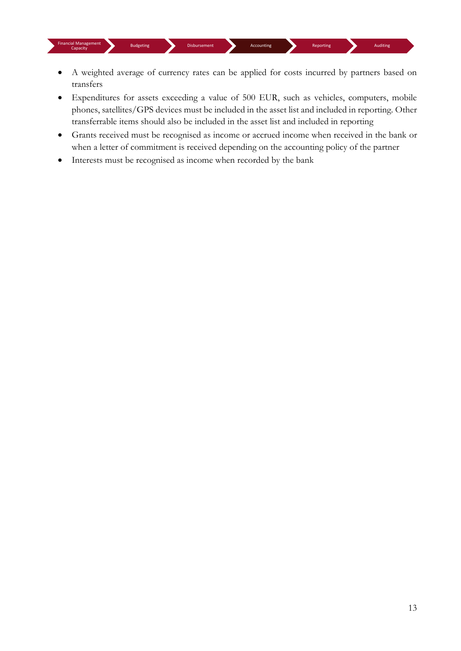| <b>Financial Manageme</b> |
|---------------------------|
| $C$ anacitu               |

- A weighted average of currency rates can be applied for costs incurred by partners based on transfers
- Expenditures for assets exceeding a value of 500 EUR, such as vehicles, computers, mobile phones, satellites/GPS devices must be included in the asset list and included in reporting. Other transferrable items should also be included in the asset list and included in reporting
- Grants received must be recognised as income or accrued income when received in the bank or when a letter of commitment is received depending on the accounting policy of the partner
- Interests must be recognised as income when recorded by the bank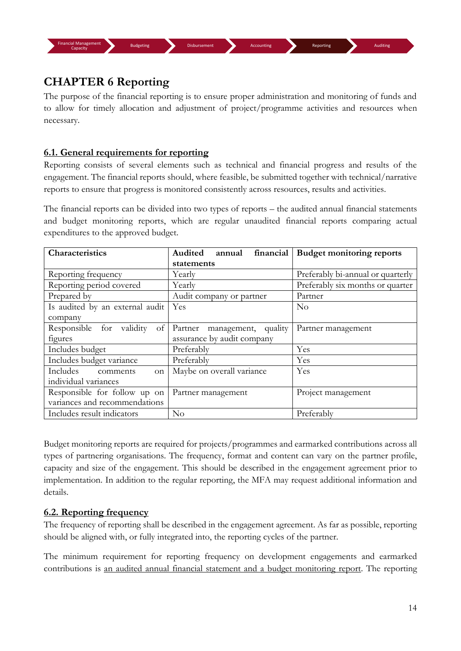| Financial Management<br><b>Capacity</b> | dgeting<br><b>Disbursement</b> | Accounting | <b>Reporting</b> | Auditing |
|-----------------------------------------|--------------------------------|------------|------------------|----------|
|-----------------------------------------|--------------------------------|------------|------------------|----------|

# <span id="page-15-0"></span>**CHAPTER 6 Reporting**

The purpose of the financial reporting is to ensure proper administration and monitoring of funds and to allow for timely allocation and adjustment of project/programme activities and resources when necessary.

#### <span id="page-15-1"></span>**6.1. General requirements for reporting**

Reporting consists of several elements such as technical and financial progress and results of the engagement. The financial reports should, where feasible, be submitted together with technical/narrative reports to ensure that progress is monitored consistently across resources, results and activities.

The financial reports can be divided into two types of reports – the audited annual financial statements and budget monitoring reports, which are regular unaudited financial reports comparing actual expenditures to the approved budget.

| Characteristics                 | Audited<br>financial<br>annual | <b>Budget monitoring reports</b>  |
|---------------------------------|--------------------------------|-----------------------------------|
|                                 | statements                     |                                   |
| Reporting frequency             | Yearly                         | Preferably bi-annual or quarterly |
| Reporting period covered        | Yearly                         | Preferably six months or quarter  |
| Prepared by                     | Audit company or partner       | Partner                           |
| Is audited by an external audit | Yes                            | $\rm No$                          |
| company                         |                                |                                   |
| Responsible for validity<br>of  | Partner management,<br>quality | Partner management                |
| figures                         | assurance by audit company     |                                   |
| Includes budget                 | Preferably                     | Yes                               |
| Includes budget variance        | Preferably                     | Yes                               |
| Includes comments<br>on         | Maybe on overall variance      | Yes                               |
| individual variances            |                                |                                   |
| Responsible for follow up on    | Partner management             | Project management                |
| variances and recommendations   |                                |                                   |
| Includes result indicators      | $\rm No$                       | Preferably                        |

Budget monitoring reports are required for projects/programmes and earmarked contributions across all types of partnering organisations. The frequency, format and content can vary on the partner profile, capacity and size of the engagement. This should be described in the engagement agreement prior to implementation. In addition to the regular reporting, the MFA may request additional information and details.

## <span id="page-15-2"></span>**6.2. Reporting frequency**

The frequency of reporting shall be described in the engagement agreement. As far as possible, reporting should be aligned with, or fully integrated into, the reporting cycles of the partner.

The minimum requirement for reporting frequency on development engagements and earmarked contributions is an audited annual financial statement and a budget monitoring report. The reporting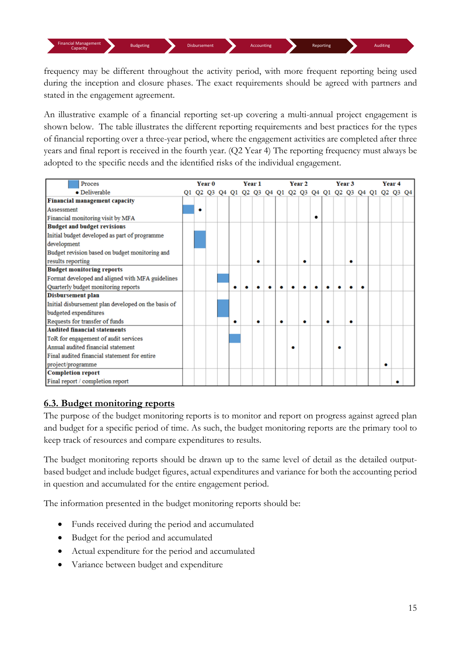on manuscrime and Budgeting Disbursement Accounting Reporting Reporting Auditing

Financial Management

frequency may be different throughout the activity period, with more frequent reporting being used during the inception and closure phases. The exact requirements should be agreed with partners and stated in the engagement agreement.

An illustrative example of a financial reporting set-up covering a multi-annual project engagement is shown below. The table illustrates the different reporting requirements and best practices for the types of financial reporting over a three-year period, where the engagement activities are completed after three years and final report is received in the fourth year. (Q2 Year 4) The reporting frequency must always be adopted to the specific needs and the identified risks of the individual engagement.

| Proces                                              |  | Year <sub>0</sub> |   | Year 1 |  | Year <sub>2</sub>                                           |   | Year <sub>3</sub> |  | Year <sub>4</sub> |  |
|-----------------------------------------------------|--|-------------------|---|--------|--|-------------------------------------------------------------|---|-------------------|--|-------------------|--|
| • Deliverable                                       |  |                   |   |        |  | Q1 Q2 Q3 Q4 Q1 Q2 Q3 Q4 Q1 Q2 Q3 Q4 Q1 Q2 Q3 Q4 Q1 Q2 Q3 Q4 |   |                   |  |                   |  |
| <b>Financial management capacity</b>                |  |                   |   |        |  |                                                             |   |                   |  |                   |  |
| Assessment                                          |  |                   |   |        |  |                                                             |   |                   |  |                   |  |
| Financial monitoring visit by MFA                   |  |                   |   |        |  |                                                             |   |                   |  |                   |  |
| <b>Budget and budget revisions</b>                  |  |                   |   |        |  |                                                             |   |                   |  |                   |  |
| Initial budget developed as part of programme       |  |                   |   |        |  |                                                             |   |                   |  |                   |  |
| development                                         |  |                   |   |        |  |                                                             |   |                   |  |                   |  |
| Budget revision based on budget monitoring and      |  |                   |   |        |  |                                                             |   |                   |  |                   |  |
| results reporting                                   |  |                   |   | ۰      |  | ٠                                                           |   |                   |  |                   |  |
| <b>Budget monitoring reports</b>                    |  |                   |   |        |  |                                                             |   |                   |  |                   |  |
| Format developed and aligned with MFA guidelines    |  |                   |   |        |  |                                                             |   |                   |  |                   |  |
| Quarterly budget monitoring reports                 |  |                   | ٠ |        |  |                                                             |   |                   |  |                   |  |
| <b>Disbursement plan</b>                            |  |                   |   |        |  |                                                             |   |                   |  |                   |  |
| Initial disbursement plan developed on the basis of |  |                   |   |        |  |                                                             |   |                   |  |                   |  |
| budgeted expenditures                               |  |                   |   |        |  |                                                             |   |                   |  |                   |  |
| Requests for transfer of funds                      |  |                   | ٠ | ٠      |  | ۰                                                           | ٠ |                   |  |                   |  |
| <b>Audited financial statements</b>                 |  |                   |   |        |  |                                                             |   |                   |  |                   |  |
| ToR for engagement of audit services                |  |                   |   |        |  |                                                             |   |                   |  |                   |  |
| Annual audited financial statement                  |  |                   |   |        |  |                                                             |   |                   |  |                   |  |
| Final audited financial statement for entire        |  |                   |   |        |  |                                                             |   |                   |  |                   |  |
| project/programme                                   |  |                   |   |        |  |                                                             |   |                   |  |                   |  |
| <b>Completion report</b>                            |  |                   |   |        |  |                                                             |   |                   |  |                   |  |
| Final report / completion report                    |  |                   |   |        |  |                                                             |   |                   |  |                   |  |

#### <span id="page-16-0"></span>**6.3. Budget monitoring reports**

The purpose of the budget monitoring reports is to monitor and report on progress against agreed plan and budget for a specific period of time. As such, the budget monitoring reports are the primary tool to keep track of resources and compare expenditures to results.

The budget monitoring reports should be drawn up to the same level of detail as the detailed outputbased budget and include budget figures, actual expenditures and variance for both the accounting period in question and accumulated for the entire engagement period.

The information presented in the budget monitoring reports should be:

- Funds received during the period and accumulated
- Budget for the period and accumulated
- Actual expenditure for the period and accumulated
- Variance between budget and expenditure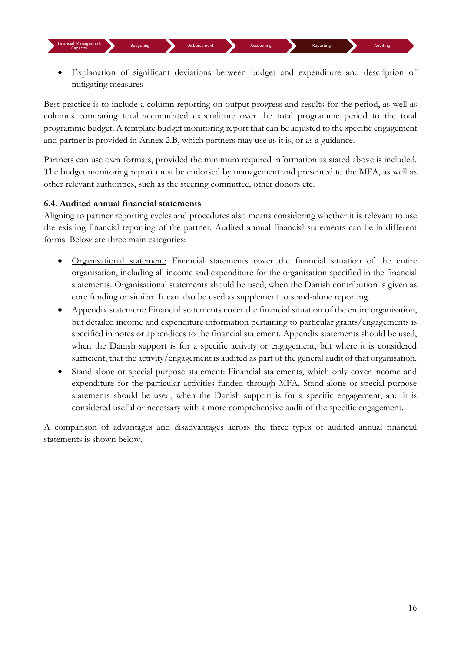Financial Management

on manuscrime and Budgeting Disbursement Accounting Reporting Reporting Auditing

 Explanation of significant deviations between budget and expenditure and description of mitigating measures

Best practice is to include a column reporting on output progress and results for the period, as well as columns comparing total accumulated expenditure over the total programme period to the total programme budget. A template budget monitoring report that can be adjusted to the specific engagement and partner is provided in Annex 2.B, which partners may use as it is, or as a guidance.

Partners can use own formats, provided the minimum required information as stated above is included. The budget monitoring report must be endorsed by management and presented to the MFA, as well as other relevant authorities, such as the steering committee, other donors etc.

#### <span id="page-17-0"></span>**6.4. Audited annual financial statements**

Aligning to partner reporting cycles and procedures also means considering whether it is relevant to use the existing financial reporting of the partner. Audited annual financial statements can be in different forms. Below are three main categories:

- Organisational statement: Financial statements cover the financial situation of the entire organisation, including all income and expenditure for the organisation specified in the financial statements. Organisational statements should be used, when the Danish contribution is given as core funding or similar. It can also be used as supplement to stand-alone reporting.
- Appendix statement: Financial statements cover the financial situation of the entire organisation, but detailed income and expenditure information pertaining to particular grants/engagements is specified in notes or appendices to the financial statement. Appendix statements should be used, when the Danish support is for a specific activity or engagement, but where it is considered sufficient, that the activity/engagement is audited as part of the general audit of that organisation.
- Stand alone or special purpose statement: Financial statements, which only cover income and expenditure for the particular activities funded through MFA. Stand alone or special purpose statements should be used, when the Danish support is for a specific engagement, and it is considered useful or necessary with a more comprehensive audit of the specific engagement.

A comparison of advantages and disadvantages across the three types of audited annual financial statements is shown below.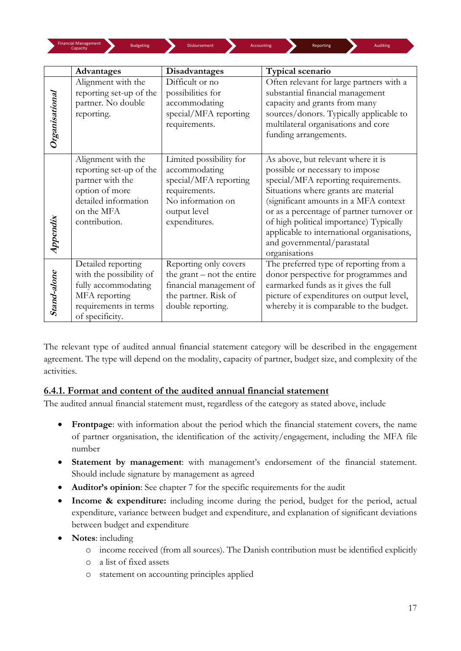| <b>Financial Management</b> |
|-----------------------------|
| Capacity                    |

on manuscrime and Budgeting Disbursement Accounting Reporting Reporting Auditing

|                | Advantages                                                                                                                                 | Disadvantages                                                                                                                            | Typical scenario                                                                                                                                                                                                                                                                                                                                                                    |
|----------------|--------------------------------------------------------------------------------------------------------------------------------------------|------------------------------------------------------------------------------------------------------------------------------------------|-------------------------------------------------------------------------------------------------------------------------------------------------------------------------------------------------------------------------------------------------------------------------------------------------------------------------------------------------------------------------------------|
| Organisational | Alignment with the<br>reporting set-up of the<br>partner. No double<br>reporting.                                                          | Difficult or no<br>possibilities for<br>accommodating<br>special/MFA reporting<br>requirements.                                          | Often relevant for large partners with a<br>substantial financial management<br>capacity and grants from many<br>sources/donors. Typically applicable to<br>multilateral organisations and core<br>funding arrangements.                                                                                                                                                            |
| Appendix       | Alignment with the<br>reporting set-up of the<br>partner with the<br>option of more<br>detailed information<br>on the MFA<br>contribution. | Limited possibility for<br>accommodating<br>special/MFA reporting<br>requirements.<br>No information on<br>output level<br>expenditures. | As above, but relevant where it is<br>possible or necessary to impose<br>special/MFA reporting requirements.<br>Situations where grants are material<br>(significant amounts in a MFA context<br>or as a percentage of partner turnover or<br>of high political importance) Typically<br>applicable to international organisations,<br>and governmental/parastatal<br>organisations |
| Stand-alone    | Detailed reporting<br>with the possibility of<br>fully accommodating<br>MFA reporting<br>requirements in terms<br>of specificity.          | Reporting only covers<br>the grant $-$ not the entire<br>financial management of<br>the partner. Risk of<br>double reporting.            | The preferred type of reporting from a<br>donor perspective for programmes and<br>earmarked funds as it gives the full<br>picture of expenditures on output level,<br>whereby it is comparable to the budget.                                                                                                                                                                       |

The relevant type of audited annual financial statement category will be described in the engagement agreement. The type will depend on the modality, capacity of partner, budget size, and complexity of the activities.

## <span id="page-18-0"></span>**6.4.1. Format and content of the audited annual financial statement**

The audited annual financial statement must, regardless of the category as stated above, include

- **Frontpage**: with information about the period which the financial statement covers, the name of partner organisation, the identification of the activity/engagement, including the MFA file number
- **Statement by management**: with management's endorsement of the financial statement. Should include signature by management as agreed
- **Auditor's opinion**: See chapter 7 for the specific requirements for the audit
- **Income & expenditure:** including income during the period, budget for the period, actual expenditure, variance between budget and expenditure, and explanation of significant deviations between budget and expenditure
- **Notes**: including
	- o income received (from all sources). The Danish contribution must be identified explicitly
	- o a list of fixed assets
	- o statement on accounting principles applied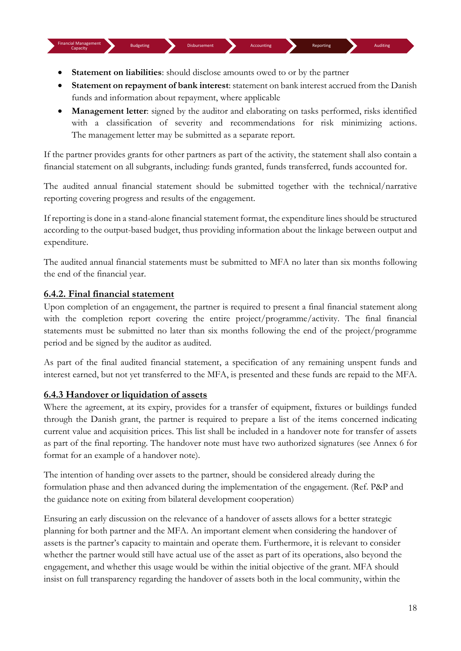Financial Management

- **Statement on liabilities**: should disclose amounts owed to or by the partner
- **Statement on repayment of bank interest**: statement on bank interest accrued from the Danish funds and information about repayment, where applicable
- **Management letter**: signed by the auditor and elaborating on tasks performed, risks identified with a classification of severity and recommendations for risk minimizing actions. The management letter may be submitted as a separate report.

If the partner provides grants for other partners as part of the activity, the statement shall also contain a financial statement on all subgrants, including: funds granted, funds transferred, funds accounted for.

The audited annual financial statement should be submitted together with the technical/narrative reporting covering progress and results of the engagement.

If reporting is done in a stand-alone financial statement format, the expenditure lines should be structured according to the output-based budget, thus providing information about the linkage between output and expenditure.

The audited annual financial statements must be submitted to MFA no later than six months following the end of the financial year.

#### <span id="page-19-0"></span>**6.4.2. Final financial statement**

Upon completion of an engagement, the partner is required to present a final financial statement along with the completion report covering the entire project/programme/activity. The final financial statements must be submitted no later than six months following the end of the project/programme period and be signed by the auditor as audited.

As part of the final audited financial statement, a specification of any remaining unspent funds and interest earned, but not yet transferred to the MFA, is presented and these funds are repaid to the MFA.

#### <span id="page-19-1"></span>**6.4.3 Handover or liquidation of assets**

Where the agreement, at its expiry, provides for a transfer of equipment, fixtures or buildings funded through the Danish grant, the partner is required to prepare a list of the items concerned indicating current value and acquisition prices. This list shall be included in a handover note for transfer of assets as part of the final reporting. The handover note must have two authorized signatures (see Annex 6 for format for an example of a handover note).

The intention of handing over assets to the partner, should be considered already during the formulation phase and then advanced during the implementation of the engagement. (Ref. P&P and the guidance note on exiting from bilateral development cooperation)

Ensuring an early discussion on the relevance of a handover of assets allows for a better strategic planning for both partner and the MFA. An important element when considering the handover of assets is the partner's capacity to maintain and operate them. Furthermore, it is relevant to consider whether the partner would still have actual use of the asset as part of its operations, also beyond the engagement, and whether this usage would be within the initial objective of the grant. MFA should insist on full transparency regarding the handover of assets both in the local community, within the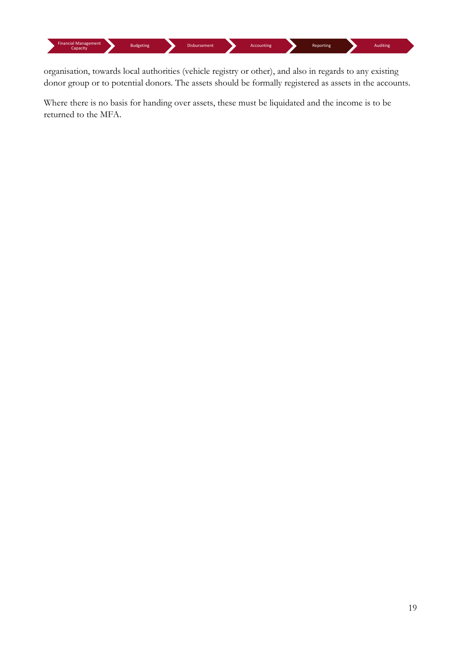| <b>Financial Management</b><br><b>Auditing</b><br><b>Disbursement</b><br>dgeting<br>ccounting<br>Reporting<br>Capacity |  |
|------------------------------------------------------------------------------------------------------------------------|--|
|------------------------------------------------------------------------------------------------------------------------|--|

organisation, towards local authorities (vehicle registry or other), and also in regards to any existing donor group or to potential donors. The assets should be formally registered as assets in the accounts.

Where there is no basis for handing over assets, these must be liquidated and the income is to be returned to the MFA.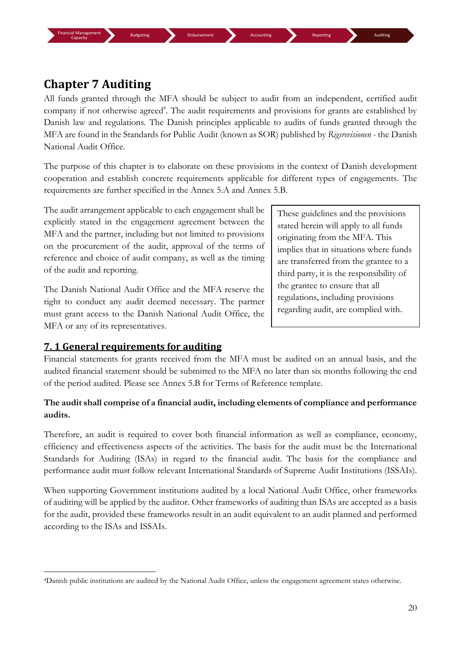## <span id="page-21-0"></span>**Chapter 7 Auditing**

Financial Management

All funds granted through the MFA should be subject to audit from an independent, certified audit company if not otherwise agreed<sup>4</sup>. The audit requirements and provisions for grants are established by Danish law and regulations. The Danish principles applicable to audits of funds granted through the MFA are found in the Standards for Public Audit (known as SOR) published by *Rigsrevisionen* - the Danish National Audit Office.

The purpose of this chapter is to elaborate on these provisions in the context of Danish development cooperation and establish concrete requirements applicable for different types of engagements. The requirements are further specified in the Annex 5.A and Annex 5.B.

The audit arrangement applicable to each engagement shall be explicitly stated in the engagement agreement between the MFA and the partner, including but not limited to provisions on the procurement of the audit, approval of the terms of reference and choice of audit company, as well as the timing of the audit and reporting.

The Danish National Audit Office and the MFA reserve the right to conduct any audit deemed necessary. The partner must grant access to the Danish National Audit Office, the MFA or any of its representatives.

These guidelines and the provisions stated herein will apply to all funds originating from the MFA. This implies that in situations where funds are transferred from the grantee to a third party, it is the responsibility of the grantee to ensure that all regulations, including provisions regarding audit, are complied with.

#### <span id="page-21-1"></span>**7. 1 General requirements for auditing**

Financial statements for grants received from the MFA must be audited on an annual basis, and the audited financial statement should be submitted to the MFA no later than six months following the end of the period audited. Please see Annex 5.B for Terms of Reference template.

## **The audit shall comprise of a financial audit, including elements of compliance and performance audits.**

Therefore, an audit is required to cover both financial information as well as compliance, economy, efficiency and effectiveness aspects of the activities. The basis for the audit must be the International Standards for Auditing (ISAs) in regard to the financial audit. The basis for the compliance and performance audit must follow relevant International Standards of Supreme Audit Institutions (ISSAIs).

When supporting Government institutions audited by a local National Audit Office, other frameworks of auditing will be applied by the auditor. Other frameworks of auditing than ISAs are accepted as a basis for the audit, provided these frameworks result in an audit equivalent to an audit planned and performed according to the ISAs and ISSAIs.

<sup>-</sup><sup>4</sup>Danish public institutions are audited by the National Audit Office, unless the engagement agreement states otherwise.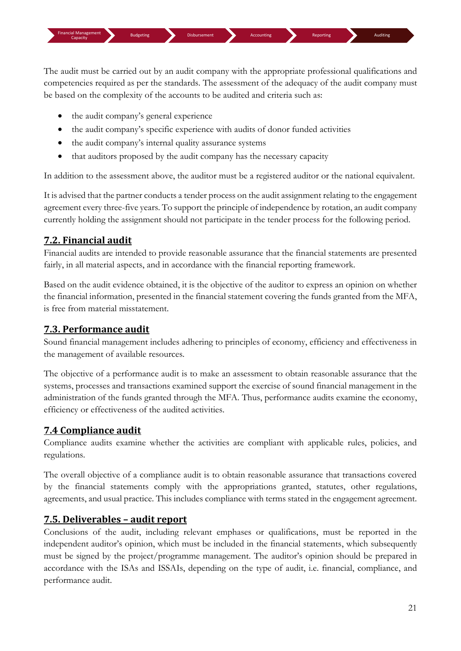The audit must be carried out by an audit company with the appropriate professional qualifications and competencies required as per the standards. The assessment of the adequacy of the audit company must be based on the complexity of the accounts to be audited and criteria such as:

- the audit company's general experience
- the audit company's specific experience with audits of donor funded activities
- the audit company's internal quality assurance systems
- that auditors proposed by the audit company has the necessary capacity

In addition to the assessment above, the auditor must be a registered auditor or the national equivalent.

It is advised that the partner conducts a tender process on the audit assignment relating to the engagement agreement every three-five years. To support the principle of independence by rotation, an audit company currently holding the assignment should not participate in the tender process for the following period.

# <span id="page-22-0"></span>**7.2. Financial audit**

Financial audits are intended to provide reasonable assurance that the financial statements are presented fairly, in all material aspects, and in accordance with the financial reporting framework.

Based on the audit evidence obtained, it is the objective of the auditor to express an opinion on whether the financial information, presented in the financial statement covering the funds granted from the MFA, is free from material misstatement.

# <span id="page-22-1"></span>**7.3. Performance audit**

Sound financial management includes adhering to principles of economy, efficiency and effectiveness in the management of available resources.

The objective of a performance audit is to make an assessment to obtain reasonable assurance that the systems, processes and transactions examined support the exercise of sound financial management in the administration of the funds granted through the MFA. Thus, performance audits examine the economy, efficiency or effectiveness of the audited activities.

# <span id="page-22-2"></span>**7.4 Compliance audit**

Compliance audits examine whether the activities are compliant with applicable rules, policies, and regulations.

The overall objective of a compliance audit is to obtain reasonable assurance that transactions covered by the financial statements comply with the appropriations granted, statutes, other regulations, agreements, and usual practice. This includes compliance with terms stated in the engagement agreement.

# <span id="page-22-3"></span>**7.5. Deliverables – audit report**

Conclusions of the audit, including relevant emphases or qualifications, must be reported in the independent auditor's opinion, which must be included in the financial statements, which subsequently must be signed by the project/programme management. The auditor's opinion should be prepared in accordance with the ISAs and ISSAIs, depending on the type of audit, i.e. financial, compliance, and performance audit.